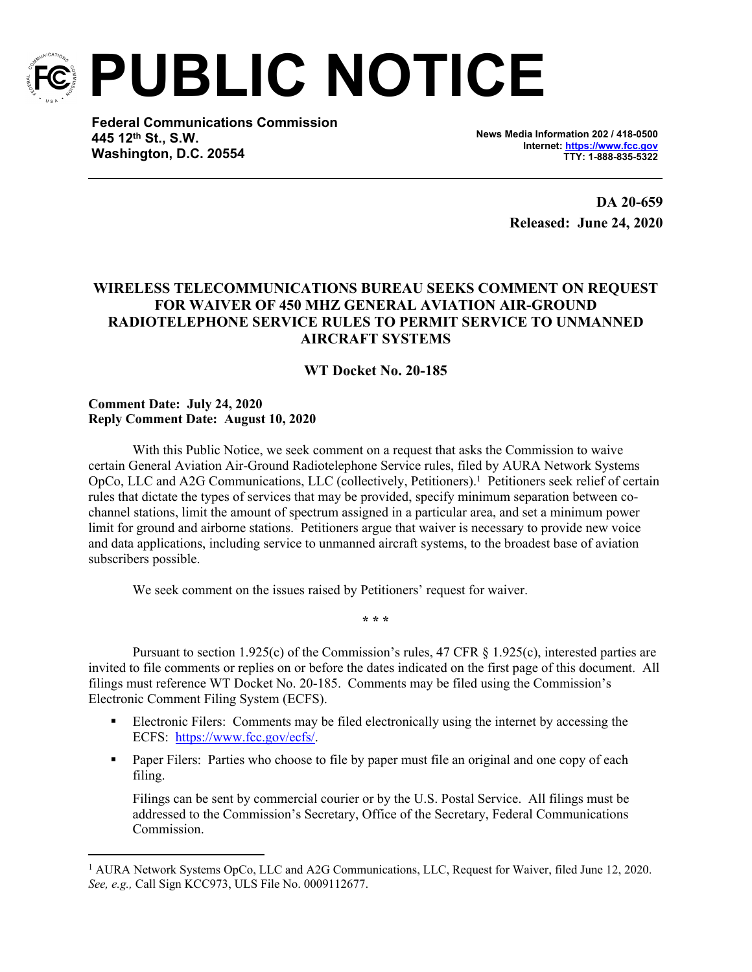

**PUBLIC NOTICE**

**Federal Communications Commission 445 12th St., S.W. Washington, D.C. 20554**

**News Media Information 202 / 418-0500 Internet:<https://www.fcc.gov> TTY: 1-888-835-5322**

> **DA 20-659 Released: June 24, 2020**

## **WIRELESS TELECOMMUNICATIONS BUREAU SEEKS COMMENT ON REQUEST FOR WAIVER OF 450 MHZ GENERAL AVIATION AIR-GROUND RADIOTELEPHONE SERVICE RULES TO PERMIT SERVICE TO UNMANNED AIRCRAFT SYSTEMS**

## **WT Docket No. 20-185**

## **Comment Date: July 24, 2020 Reply Comment Date: August 10, 2020**

With this Public Notice, we seek comment on a request that asks the Commission to waive certain General Aviation Air-Ground Radiotelephone Service rules, filed by AURA Network Systems OpCo, LLC and A2G Communications, LLC (collectively, Petitioners).<sup>1</sup> Petitioners seek relief of certain rules that dictate the types of services that may be provided, specify minimum separation between cochannel stations, limit the amount of spectrum assigned in a particular area, and set a minimum power limit for ground and airborne stations. Petitioners argue that waiver is necessary to provide new voice and data applications, including service to unmanned aircraft systems, to the broadest base of aviation subscribers possible.

We seek comment on the issues raised by Petitioners' request for waiver.

**\* \* \***

Pursuant to section 1.925(c) of the Commission's rules, 47 CFR § 1.925(c), interested parties are invited to file comments or replies on or before the dates indicated on the first page of this document. All filings must reference WT Docket No. 20-185. Comments may be filed using the Commission's Electronic Comment Filing System (ECFS).

- Electronic Filers: Comments may be filed electronically using the internet by accessing the ECFS: <https://www.fcc.gov/ecfs/>.
- **Paper Filers:** Parties who choose to file by paper must file an original and one copy of each filing.

Filings can be sent by commercial courier or by the U.S. Postal Service. All filings must be addressed to the Commission's Secretary, Office of the Secretary, Federal Communications Commission.

<sup>&</sup>lt;sup>1</sup> AURA Network Systems OpCo, LLC and A2G Communications, LLC, Request for Waiver, filed June 12, 2020. *See, e.g.,* Call Sign KCC973, ULS File No. 0009112677.